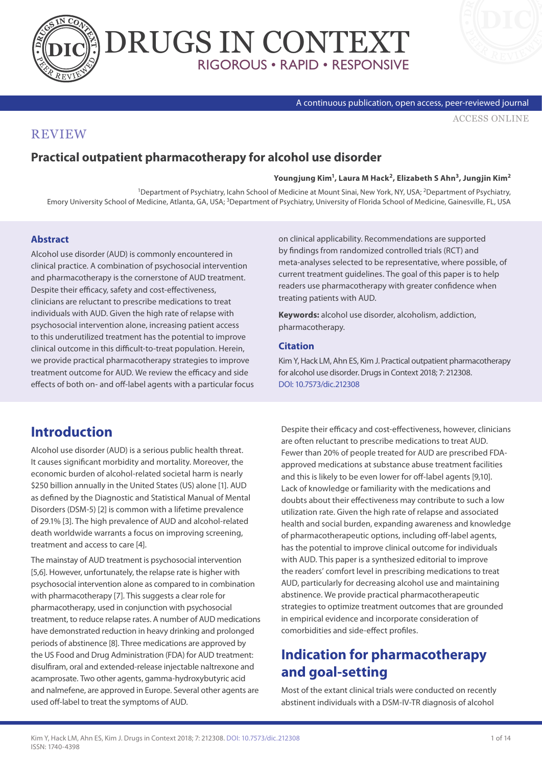



A continuous publication, open access, peer-reviewed journal

#### [ACCESS ONLINE](http://www.drugsincontext.com/practical-outpatient-pharmacotherapy-for-alcohol-use-disorder)

### **REVIEW**

### **Practical outpatient pharmacotherapy for alcohol use disorder**

**Youngjung Kim1, Laura M Hack2, Elizabeth S Ahn3, Jungjin Kim2**

<sup>1</sup>Department of Psychiatry, Icahn School of Medicine at Mount Sinai, New York, NY, USA; <sup>2</sup>Department of Psychiatry, Emory University School of Medicine, Atlanta, GA, USA; 3Department of Psychiatry, University of Florida School of Medicine, Gainesville, FL, USA

#### **Abstract**

Alcohol use disorder (AUD) is commonly encountered in clinical practice. A combination of psychosocial intervention and pharmacotherapy is the cornerstone of AUD treatment. Despite their efficacy, safety and cost-effectiveness, clinicians are reluctant to prescribe medications to treat individuals with AUD. Given the high rate of relapse with psychosocial intervention alone, increasing patient access to this underutilized treatment has the potential to improve clinical outcome in this difficult-to-treat population. Herein, we provide practical pharmacotherapy strategies to improve treatment outcome for AUD. We review the efficacy and side effects of both on- and off-label agents with a particular focus on clinical applicability. Recommendations are supported by findings from randomized controlled trials (RCT) and meta-analyses selected to be representative, where possible, of current treatment guidelines. The goal of this paper is to help readers use pharmacotherapy with greater confidence when treating patients with AUD.

**Keywords:** alcohol use disorder, alcoholism, addiction, pharmacotherapy.

#### **Citation**

Kim Y, Hack LM, Ahn ES, Kim J. Practical outpatient pharmacotherapy for alcohol use disorder. Drugs in Context 2018; 7: 212308. [DOI: 10.7573/dic.212308](http://doi.org/10.7573/dic.212308)

## **Introduction**

Alcohol use disorder (AUD) is a serious public health threat. It causes significant morbidity and mortality. Moreover, the economic burden of alcohol-related societal harm is nearly \$250 billion annually in the United States (US) alone [1]. AUD as defined by the Diagnostic and Statistical Manual of Mental Disorders (DSM-5) [2] is common with a lifetime prevalence of 29.1% [3]. The high prevalence of AUD and alcohol-related death worldwide warrants a focus on improving screening, treatment and access to care [4].

The mainstay of AUD treatment is psychosocial intervention [5,6]. However, unfortunately, the relapse rate is higher with psychosocial intervention alone as compared to in combination with pharmacotherapy [7]. This suggests a clear role for pharmacotherapy, used in conjunction with psychosocial treatment, to reduce relapse rates. A number of AUD medications have demonstrated reduction in heavy drinking and prolonged periods of abstinence [8]. Three medications are approved by the US Food and Drug Administration (FDA) for AUD treatment: disulfiram, oral and extended-release injectable naltrexone and acamprosate. Two other agents, gamma-hydroxybutyric acid and nalmefene, are approved in Europe. Several other agents are used off-label to treat the symptoms of AUD.

Despite their efficacy and cost-effectiveness, however, clinicians are often reluctant to prescribe medications to treat AUD. Fewer than 20% of people treated for AUD are prescribed FDAapproved medications at substance abuse treatment facilities and this is likely to be even lower for off-label agents [9,10]. Lack of knowledge or familiarity with the medications and doubts about their effectiveness may contribute to such a low utilization rate. Given the high rate of relapse and associated health and social burden, expanding awareness and knowledge of pharmacotherapeutic options, including off-label agents, has the potential to improve clinical outcome for individuals with AUD. This paper is a synthesized editorial to improve the readers' comfort level in prescribing medications to treat AUD, particularly for decreasing alcohol use and maintaining abstinence. We provide practical pharmacotherapeutic strategies to optimize treatment outcomes that are grounded in empirical evidence and incorporate consideration of comorbidities and side-effect profiles.

## **Indication for pharmacotherapy and goal-setting**

Most of the extant clinical trials were conducted on recently abstinent individuals with a DSM-IV-TR diagnosis of alcohol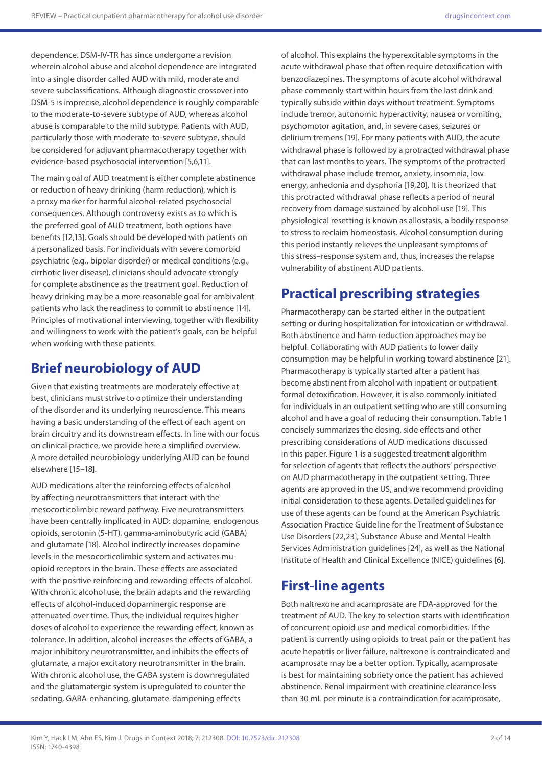dependence. DSM-IV-TR has since undergone a revision wherein alcohol abuse and alcohol dependence are integrated into a single disorder called AUD with mild, moderate and severe subclassifications. Although diagnostic crossover into DSM-5 is imprecise, alcohol dependence is roughly comparable to the moderate-to-severe subtype of AUD, whereas alcohol abuse is comparable to the mild subtype. Patients with AUD, particularly those with moderate-to-severe subtype, should be considered for adjuvant pharmacotherapy together with evidence-based psychosocial intervention [5,6,11].

The main goal of AUD treatment is either complete abstinence or reduction of heavy drinking (harm reduction), which is a proxy marker for harmful alcohol-related psychosocial consequences. Although controversy exists as to which is the preferred goal of AUD treatment, both options have benefits [12,13]. Goals should be developed with patients on a personalized basis. For individuals with severe comorbid psychiatric (e.g., bipolar disorder) or medical conditions (e.g., cirrhotic liver disease), clinicians should advocate strongly for complete abstinence as the treatment goal. Reduction of heavy drinking may be a more reasonable goal for ambivalent patients who lack the readiness to commit to abstinence [14]. Principles of motivational interviewing, together with flexibility and willingness to work with the patient's goals, can be helpful when working with these patients.

### **Brief neurobiology of AUD**

Given that existing treatments are moderately effective at best, clinicians must strive to optimize their understanding of the disorder and its underlying neuroscience. This means having a basic understanding of the effect of each agent on brain circuitry and its downstream effects. In line with our focus on clinical practice, we provide here a simplified overview. A more detailed neurobiology underlying AUD can be found elsewhere [15–18].

AUD medications alter the reinforcing effects of alcohol by affecting neurotransmitters that interact with the mesocorticolimbic reward pathway. Five neurotransmitters have been centrally implicated in AUD: dopamine, endogenous opioids, serotonin (5-HT), gamma-aminobutyric acid (GABA) and glutamate [18]. Alcohol indirectly increases dopamine levels in the mesocorticolimbic system and activates muopioid receptors in the brain. These effects are associated with the positive reinforcing and rewarding effects of alcohol. With chronic alcohol use, the brain adapts and the rewarding effects of alcohol-induced dopaminergic response are attenuated over time. Thus, the individual requires higher doses of alcohol to experience the rewarding effect, known as tolerance. In addition, alcohol increases the effects of GABA, a major inhibitory neurotransmitter, and inhibits the effects of glutamate, a major excitatory neurotransmitter in the brain. With chronic alcohol use, the GABA system is downregulated and the glutamatergic system is upregulated to counter the sedating, GABA-enhancing, glutamate-dampening effects

of alcohol. This explains the hyperexcitable symptoms in the acute withdrawal phase that often require detoxification with benzodiazepines. The symptoms of acute alcohol withdrawal phase commonly start within hours from the last drink and typically subside within days without treatment. Symptoms include tremor, autonomic hyperactivity, nausea or vomiting, psychomotor agitation, and, in severe cases, seizures or delirium tremens [19]. For many patients with AUD, the acute withdrawal phase is followed by a protracted withdrawal phase that can last months to years. The symptoms of the protracted withdrawal phase include tremor, anxiety, insomnia, low energy, anhedonia and dysphoria [19,20]. It is theorized that this protracted withdrawal phase reflects a period of neural recovery from damage sustained by alcohol use [19]. This physiological resetting is known as allostasis, a bodily response to stress to reclaim homeostasis. Alcohol consumption during this period instantly relieves the unpleasant symptoms of this stress–response system and, thus, increases the relapse vulnerability of abstinent AUD patients.

# **Practical prescribing strategies**

Pharmacotherapy can be started either in the outpatient setting or during hospitalization for intoxication or withdrawal. Both abstinence and harm reduction approaches may be helpful. Collaborating with AUD patients to lower daily consumption may be helpful in working toward abstinence [21]. Pharmacotherapy is typically started after a patient has become abstinent from alcohol with inpatient or outpatient formal detoxification. However, it is also commonly initiated for individuals in an outpatient setting who are still consuming alcohol and have a goal of reducing their consumption. Table 1 concisely summarizes the dosing, side effects and other prescribing considerations of AUD medications discussed in this paper. Figure 1 is a suggested treatment algorithm for selection of agents that reflects the authors' perspective on AUD pharmacotherapy in the outpatient setting. Three agents are approved in the US, and we recommend providing initial consideration to these agents. Detailed guidelines for use of these agents can be found at the American Psychiatric Association Practice Guideline for the Treatment of Substance Use Disorders [22,23], Substance Abuse and Mental Health Services Administration guidelines [24], as well as the National Institute of Health and Clinical Excellence (NICE) guidelines [6].

### **First-line agents**

Both naltrexone and acamprosate are FDA-approved for the treatment of AUD. The key to selection starts with identification of concurrent opioid use and medical comorbidities. If the patient is currently using opioids to treat pain or the patient has acute hepatitis or liver failure, naltrexone is contraindicated and acamprosate may be a better option. Typically, acamprosate is best for maintaining sobriety once the patient has achieved abstinence. Renal impairment with creatinine clearance less than 30 mL per minute is a contraindication for acamprosate,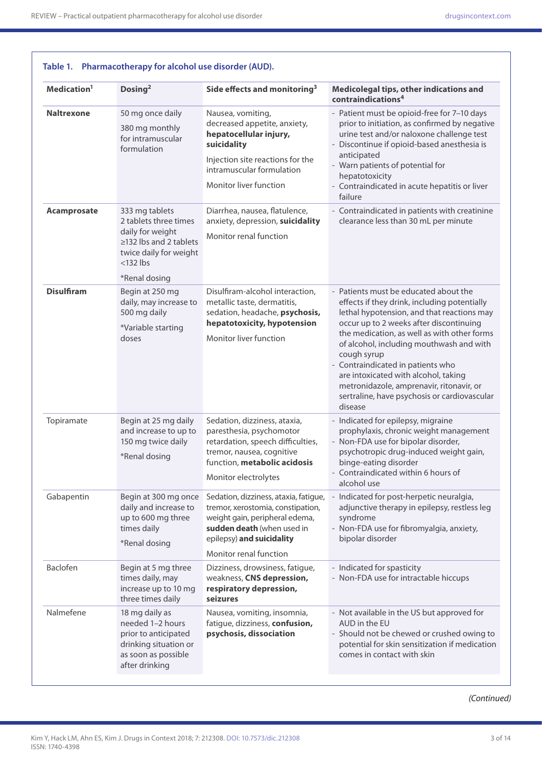| Medication <sup>1</sup> | Dosing <sup>2</sup>                                                                                                                                   | Side effects and monitoring <sup>3</sup>                                                                                                                                                          | Medicolegal tips, other indications and<br>contraindications <sup>4</sup>                                                                                                                                                                                                                                                                                                                                                                                                    |
|-------------------------|-------------------------------------------------------------------------------------------------------------------------------------------------------|---------------------------------------------------------------------------------------------------------------------------------------------------------------------------------------------------|------------------------------------------------------------------------------------------------------------------------------------------------------------------------------------------------------------------------------------------------------------------------------------------------------------------------------------------------------------------------------------------------------------------------------------------------------------------------------|
| <b>Naltrexone</b>       | 50 mg once daily<br>380 mg monthly<br>for intramuscular<br>formulation                                                                                | Nausea, vomiting,<br>decreased appetite, anxiety,<br>hepatocellular injury,<br>suicidality<br>Injection site reactions for the<br>intramuscular formulation<br>Monitor liver function             | - Patient must be opioid-free for 7-10 days<br>prior to initiation, as confirmed by negative<br>urine test and/or naloxone challenge test<br>- Discontinue if opioid-based anesthesia is<br>anticipated<br>- Warn patients of potential for<br>hepatotoxicity<br>- Contraindicated in acute hepatitis or liver<br>failure                                                                                                                                                    |
| Acamprosate             | 333 mg tablets<br>2 tablets three times<br>daily for weight<br>$\geq$ 132 lbs and 2 tablets<br>twice daily for weight<br>$<$ 132 lbs<br>*Renal dosing | Diarrhea, nausea, flatulence,<br>anxiety, depression, suicidality<br>Monitor renal function                                                                                                       | - Contraindicated in patients with creatinine<br>clearance less than 30 mL per minute                                                                                                                                                                                                                                                                                                                                                                                        |
| <b>Disulfiram</b>       | Begin at 250 mg<br>daily, may increase to<br>500 mg daily<br>*Variable starting<br>doses                                                              | Disulfiram-alcohol interaction,<br>metallic taste, dermatitis,<br>sedation, headache, psychosis,<br>hepatotoxicity, hypotension<br>Monitor liver function                                         | - Patients must be educated about the<br>effects if they drink, including potentially<br>lethal hypotension, and that reactions may<br>occur up to 2 weeks after discontinuing<br>the medication, as well as with other forms<br>of alcohol, including mouthwash and with<br>cough syrup<br>- Contraindicated in patients who<br>are intoxicated with alcohol, taking<br>metronidazole, amprenavir, ritonavir, or<br>sertraline, have psychosis or cardiovascular<br>disease |
| Topiramate              | Begin at 25 mg daily<br>and increase to up to<br>150 mg twice daily<br>*Renal dosing                                                                  | Sedation, dizziness, ataxia,<br>paresthesia, psychomotor<br>retardation, speech difficulties,<br>tremor, nausea, cognitive<br>function, metabolic acidosis<br>Monitor electrolytes                | - Indicated for epilepsy, migraine<br>prophylaxis, chronic weight management<br>- Non-FDA use for bipolar disorder,<br>psychotropic drug-induced weight gain,<br>binge-eating disorder<br>- Contraindicated within 6 hours of<br>alcohol use                                                                                                                                                                                                                                 |
| Gabapentin              | Begin at 300 mg once<br>daily and increase to<br>up to 600 mg three<br>times daily<br>*Renal dosing                                                   | Sedation, dizziness, ataxia, fatigue,<br>tremor, xerostomia, constipation,<br>weight gain, peripheral edema,<br>sudden death (when used in<br>epilepsy) and suicidality<br>Monitor renal function | - Indicated for post-herpetic neuralgia,<br>adjunctive therapy in epilepsy, restless leg<br>syndrome<br>- Non-FDA use for fibromyalgia, anxiety,<br>bipolar disorder                                                                                                                                                                                                                                                                                                         |
| Baclofen                | Begin at 5 mg three<br>times daily, may<br>increase up to 10 mg<br>three times daily                                                                  | Dizziness, drowsiness, fatigue,<br>weakness, CNS depression,<br>respiratory depression,<br>seizures                                                                                               | - Indicated for spasticity<br>- Non-FDA use for intractable hiccups                                                                                                                                                                                                                                                                                                                                                                                                          |
| Nalmefene               | 18 mg daily as<br>needed 1-2 hours<br>prior to anticipated<br>drinking situation or<br>as soon as possible<br>after drinking                          | Nausea, vomiting, insomnia,<br>fatigue, dizziness, confusion,<br>psychosis, dissociation                                                                                                          | - Not available in the US but approved for<br>AUD in the EU<br>- Should not be chewed or crushed owing to<br>potential for skin sensitization if medication<br>comes in contact with skin                                                                                                                                                                                                                                                                                    |

*(Continued)*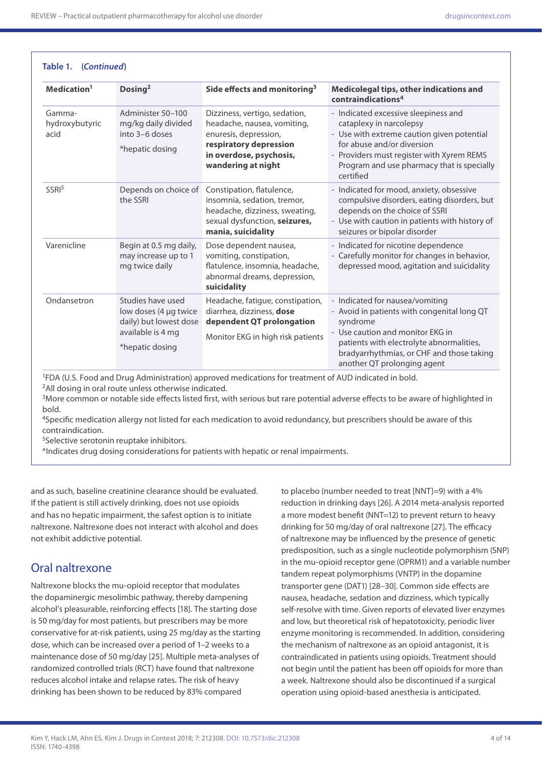**Table 1. (***Continued***)**

| Medication <sup>1</sup>          | Dosing <sup>2</sup>                                                                                          | Side effects and monitoring <sup>3</sup>                                                                                                                         | Medicolegal tips, other indications and<br>contraindications <sup>4</sup>                                                                                                                                                                              |
|----------------------------------|--------------------------------------------------------------------------------------------------------------|------------------------------------------------------------------------------------------------------------------------------------------------------------------|--------------------------------------------------------------------------------------------------------------------------------------------------------------------------------------------------------------------------------------------------------|
| Gamma-<br>hydroxybutyric<br>acid | Administer 50-100<br>mg/kg daily divided<br>into 3-6 doses<br>*hepatic dosing                                | Dizziness, vertigo, sedation,<br>headache, nausea, vomiting,<br>enuresis, depression,<br>respiratory depression<br>in overdose, psychosis,<br>wandering at night | - Indicated excessive sleepiness and<br>cataplexy in narcolepsy<br>- Use with extreme caution given potential<br>for abuse and/or diversion<br>- Providers must register with Xyrem REMS<br>Program and use pharmacy that is specially<br>certified    |
| SSRI <sup>5</sup>                | Depends on choice of<br>the SSRI                                                                             | Constipation, flatulence,<br>insomnia, sedation, tremor,<br>headache, dizziness, sweating,<br>sexual dysfunction, seizures,<br>mania, suicidality                | - Indicated for mood, anxiety, obsessive<br>compulsive disorders, eating disorders, but<br>depends on the choice of SSRI<br>- Use with caution in patients with history of<br>seizures or bipolar disorder                                             |
| Varenicline                      | Begin at 0.5 mg daily,<br>may increase up to 1<br>mg twice daily                                             | Dose dependent nausea,<br>vomiting, constipation,<br>flatulence, insomnia, headache,<br>abnormal dreams, depression,<br>suicidality                              | - Indicated for nicotine dependence<br>- Carefully monitor for changes in behavior,<br>depressed mood, agitation and suicidality                                                                                                                       |
| Ondansetron                      | Studies have used<br>low doses (4 µg twice<br>daily) but lowest dose<br>available is 4 mg<br>*hepatic dosing | Headache, fatigue, constipation,<br>diarrhea, dizziness, dose<br>dependent QT prolongation<br>Monitor EKG in high risk patients                                  | - Indicated for nausea/vomiting<br>- Avoid in patients with congenital long QT<br>syndrome<br>- Use caution and monitor EKG in<br>patients with electrolyte abnormalities,<br>bradyarrhythmias, or CHF and those taking<br>another QT prolonging agent |

1FDA (U.S. Food and Drug Administration) approved medications for treatment of AUD indicated in bold. 2All dosing in oral route unless otherwise indicated.

<sup>3</sup>More common or notable side effects listed first, with serious but rare potential adverse effects to be aware of highlighted in bold.

<sup>4</sup>Specific medication allergy not listed for each medication to avoid redundancy, but prescribers should be aware of this contraindication.

5Selective serotonin reuptake inhibitors.

\*Indicates drug dosing considerations for patients with hepatic or renal impairments.

and as such, baseline creatinine clearance should be evaluated. If the patient is still actively drinking, does not use opioids and has no hepatic impairment, the safest option is to initiate naltrexone. Naltrexone does not interact with alcohol and does not exhibit addictive potential.

### Oral naltrexone

Naltrexone blocks the mu-opioid receptor that modulates the dopaminergic mesolimbic pathway, thereby dampening alcohol's pleasurable, reinforcing effects [18]. The starting dose is 50 mg/day for most patients, but prescribers may be more conservative for at-risk patients, using 25 mg/day as the starting dose, which can be increased over a period of 1–2 weeks to a maintenance dose of 50 mg/day [25]. Multiple meta-analyses of randomized controlled trials (RCT) have found that naltrexone reduces alcohol intake and relapse rates. The risk of heavy drinking has been shown to be reduced by 83% compared

to placebo (number needed to treat [NNT]=9) with a 4% reduction in drinking days [26]. A 2014 meta-analysis reported a more modest benefit (NNT=12) to prevent return to heavy drinking for 50 mg/day of oral naltrexone [27]. The efficacy of naltrexone may be influenced by the presence of genetic predisposition, such as a single nucleotide polymorphism (SNP) in the mu-opioid receptor gene (OPRM1) and a variable number tandem repeat polymorphisms (VNTP) in the dopamine transporter gene (DAT1) [28–30]. Common side effects are nausea, headache, sedation and dizziness, which typically self-resolve with time. Given reports of elevated liver enzymes and low, but theoretical risk of hepatotoxicity, periodic liver enzyme monitoring is recommended. In addition, considering the mechanism of naltrexone as an opioid antagonist, it is contraindicated in patients using opioids. Treatment should not begin until the patient has been off opioids for more than a week. Naltrexone should also be discontinued if a surgical operation using opioid-based anesthesia is anticipated.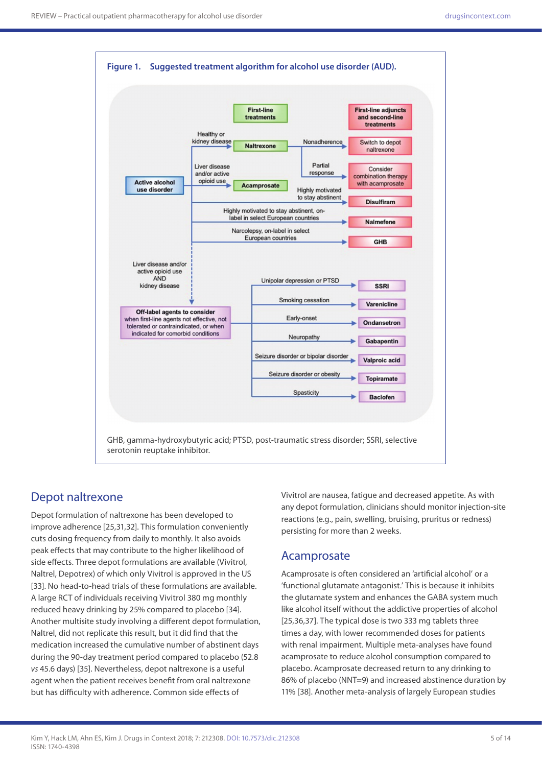

#### Depot naltrexone

Depot formulation of naltrexone has been developed to improve adherence [25,31,32]. This formulation conveniently cuts dosing frequency from daily to monthly. It also avoids peak effects that may contribute to the higher likelihood of side effects. Three depot formulations are available (Vivitrol, Naltrel, Depotrex) of which only Vivitrol is approved in the US [33]. No head-to-head trials of these formulations are available. A large RCT of individuals receiving Vivitrol 380 mg monthly reduced heavy drinking by 25% compared to placebo [34]. Another multisite study involving a different depot formulation, Naltrel, did not replicate this result, but it did find that the medication increased the cumulative number of abstinent days during the 90-day treatment period compared to placebo (52.8 *vs* 45.6 days) [35]. Nevertheless, depot naltrexone is a useful agent when the patient receives benefit from oral naltrexone but has difficulty with adherence. Common side effects of

Vivitrol are nausea, fatigue and decreased appetite. As with any depot formulation, clinicians should monitor injection-site reactions (e.g., pain, swelling, bruising, pruritus or redness) persisting for more than 2 weeks.

#### Acamprosate

Acamprosate is often considered an 'artificial alcohol' or a 'functional glutamate antagonist.' This is because it inhibits the glutamate system and enhances the GABA system much like alcohol itself without the addictive properties of alcohol [25,36,37]. The typical dose is two 333 mg tablets three times a day, with lower recommended doses for patients with renal impairment. Multiple meta-analyses have found acamprosate to reduce alcohol consumption compared to placebo. Acamprosate decreased return to any drinking to 86% of placebo (NNT=9) and increased abstinence duration by 11% [38]. Another meta-analysis of largely European studies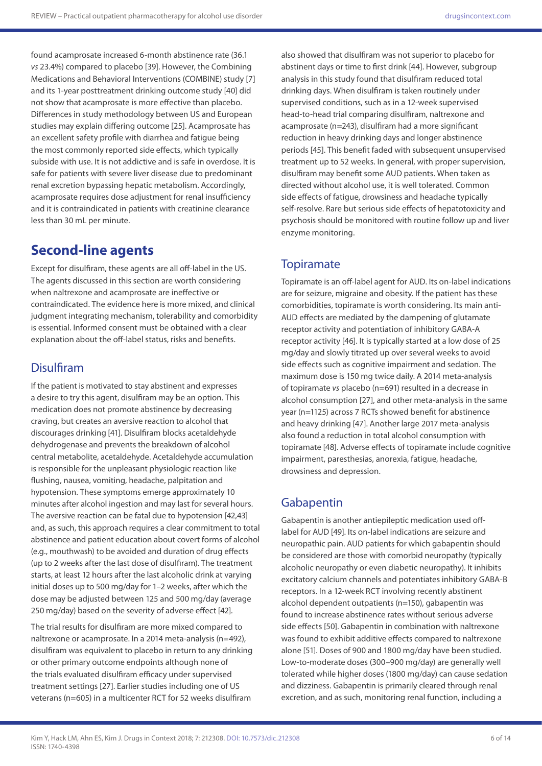found acamprosate increased 6-month abstinence rate (36.1 *vs* 23.4%) compared to placebo [39]. However, the Combining Medications and Behavioral Interventions (COMBINE) study [7] and its 1-year posttreatment drinking outcome study [40] did not show that acamprosate is more effective than placebo. Differences in study methodology between US and European studies may explain differing outcome [25]. Acamprosate has an excellent safety profile with diarrhea and fatigue being the most commonly reported side effects, which typically subside with use. It is not addictive and is safe in overdose. It is safe for patients with severe liver disease due to predominant renal excretion bypassing hepatic metabolism. Accordingly, acamprosate requires dose adjustment for renal insufficiency and it is contraindicated in patients with creatinine clearance less than 30 mL per minute.

# **Second-line agents**

Except for disulfiram, these agents are all off-label in the US. The agents discussed in this section are worth considering when naltrexone and acamprosate are ineffective or contraindicated. The evidence here is more mixed, and clinical judgment integrating mechanism, tolerability and comorbidity is essential. Informed consent must be obtained with a clear explanation about the off-label status, risks and benefits.

### **Disulfiram**

If the patient is motivated to stay abstinent and expresses a desire to try this agent, disulfiram may be an option. This medication does not promote abstinence by decreasing craving, but creates an aversive reaction to alcohol that discourages drinking [41]. Disulfiram blocks acetaldehyde dehydrogenase and prevents the breakdown of alcohol central metabolite, acetaldehyde. Acetaldehyde accumulation is responsible for the unpleasant physiologic reaction like flushing, nausea, vomiting, headache, palpitation and hypotension. These symptoms emerge approximately 10 minutes after alcohol ingestion and may last for several hours. The aversive reaction can be fatal due to hypotension [42,43] and, as such, this approach requires a clear commitment to total abstinence and patient education about covert forms of alcohol (e.g., mouthwash) to be avoided and duration of drug effects (up to 2 weeks after the last dose of disulfiram). The treatment starts, at least 12 hours after the last alcoholic drink at varying initial doses up to 500 mg/day for 1–2 weeks, after which the dose may be adjusted between 125 and 500 mg/day (average 250 mg/day) based on the severity of adverse effect [42].

The trial results for disulfiram are more mixed compared to naltrexone or acamprosate. In a 2014 meta-analysis (n=492), disulfiram was equivalent to placebo in return to any drinking or other primary outcome endpoints although none of the trials evaluated disulfiram efficacy under supervised treatment settings [27]. Earlier studies including one of US veterans (n=605) in a multicenter RCT for 52 weeks disulfiram

also showed that disulfiram was not superior to placebo for abstinent days or time to first drink [44]. However, subgroup analysis in this study found that disulfiram reduced total drinking days. When disulfiram is taken routinely under supervised conditions, such as in a 12-week supervised head-to-head trial comparing disulfiram, naltrexone and acamprosate (n=243), disulfiram had a more significant reduction in heavy drinking days and longer abstinence periods [45]. This benefit faded with subsequent unsupervised treatment up to 52 weeks. In general, with proper supervision, disulfiram may benefit some AUD patients. When taken as directed without alcohol use, it is well tolerated. Common side effects of fatigue, drowsiness and headache typically self-resolve. Rare but serious side effects of hepatotoxicity and psychosis should be monitored with routine follow up and liver enzyme monitoring.

### **Topiramate**

Topiramate is an off-label agent for AUD. Its on-label indications are for seizure, migraine and obesity. If the patient has these comorbidities, topiramate is worth considering. Its main anti-AUD effects are mediated by the dampening of glutamate receptor activity and potentiation of inhibitory GABA-A receptor activity [46]. It is typically started at a low dose of 25 mg/day and slowly titrated up over several weeks to avoid side effects such as cognitive impairment and sedation. The maximum dose is 150 mg twice daily. A 2014 meta-analysis of topiramate *vs* placebo (n=691) resulted in a decrease in alcohol consumption [27], and other meta-analysis in the same year (n=1125) across 7 RCTs showed benefit for abstinence and heavy drinking [47]. Another large 2017 meta-analysis also found a reduction in total alcohol consumption with topiramate [48]. Adverse effects of topiramate include cognitive impairment, paresthesias, anorexia, fatigue, headache, drowsiness and depression.

### Gabapentin

Gabapentin is another antiepileptic medication used offlabel for AUD [49]. Its on-label indications are seizure and neuropathic pain. AUD patients for which gabapentin should be considered are those with comorbid neuropathy (typically alcoholic neuropathy or even diabetic neuropathy). It inhibits excitatory calcium channels and potentiates inhibitory GABA-B receptors. In a 12-week RCT involving recently abstinent alcohol dependent outpatients (n=150), gabapentin was found to increase abstinence rates without serious adverse side effects [50]. Gabapentin in combination with naltrexone was found to exhibit additive effects compared to naltrexone alone [51]. Doses of 900 and 1800 mg/day have been studied. Low-to-moderate doses (300–900 mg/day) are generally well tolerated while higher doses (1800 mg/day) can cause sedation and dizziness. Gabapentin is primarily cleared through renal excretion, and as such, monitoring renal function, including a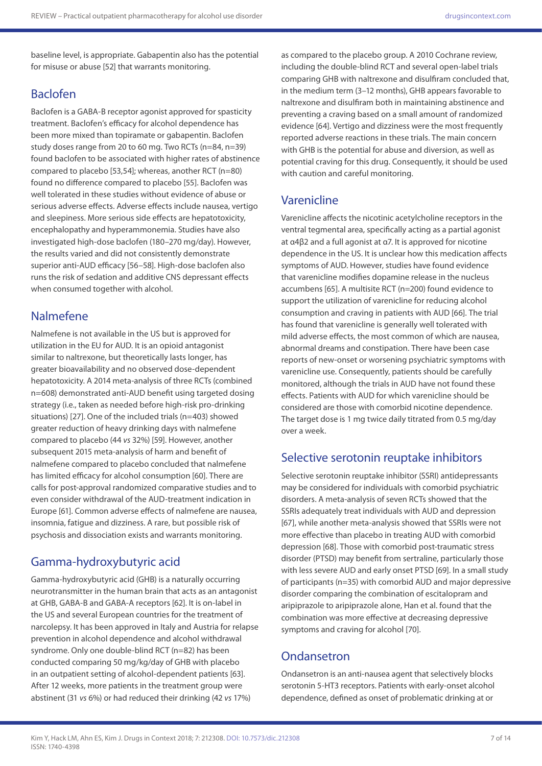baseline level, is appropriate. Gabapentin also has the potential for misuse or abuse [52] that warrants monitoring.

#### Baclofen

Baclofen is a GABA-B receptor agonist approved for spasticity treatment. Baclofen's efficacy for alcohol dependence has been more mixed than topiramate or gabapentin. Baclofen study doses range from 20 to 60 mg. Two RCTs (n=84, n=39) found baclofen to be associated with higher rates of abstinence compared to placebo [53,54]; whereas, another RCT (n=80) found no difference compared to placebo [55]. Baclofen was well tolerated in these studies without evidence of abuse or serious adverse effects. Adverse effects include nausea, vertigo and sleepiness. More serious side effects are hepatotoxicity, encephalopathy and hyperammonemia. Studies have also investigated high-dose baclofen (180–270 mg/day). However, the results varied and did not consistently demonstrate superior anti-AUD efficacy [56–58]. High-dose baclofen also runs the risk of sedation and additive CNS depressant effects when consumed together with alcohol.

#### Nalmefene

Nalmefene is not available in the US but is approved for utilization in the EU for AUD. It is an opioid antagonist similar to naltrexone, but theoretically lasts longer, has greater bioavailability and no observed dose-dependent hepatotoxicity. A 2014 meta-analysis of three RCTs (combined n=608) demonstrated anti-AUD benefit using targeted dosing strategy (i.e., taken as needed before high-risk pro-drinking situations) [27]. One of the included trials (n=403) showed greater reduction of heavy drinking days with nalmefene compared to placebo (44 *vs* 32%) [59]. However, another subsequent 2015 meta-analysis of harm and benefit of nalmefene compared to placebo concluded that nalmefene has limited efficacy for alcohol consumption [60]. There are calls for post-approval randomized comparative studies and to even consider withdrawal of the AUD-treatment indication in Europe [61]. Common adverse effects of nalmefene are nausea, insomnia, fatigue and dizziness. A rare, but possible risk of psychosis and dissociation exists and warrants monitoring.

### Gamma-hydroxybutyric acid

Gamma-hydroxybutyric acid (GHB) is a naturally occurring neurotransmitter in the human brain that acts as an antagonist at GHB, GABA-B and GABA-A receptors [62]. It is on-label in the US and several European countries for the treatment of narcolepsy. It has been approved in Italy and Austria for relapse prevention in alcohol dependence and alcohol withdrawal syndrome. Only one double-blind RCT (n=82) has been conducted comparing 50 mg/kg/day of GHB with placebo in an outpatient setting of alcohol-dependent patients [63]. After 12 weeks, more patients in the treatment group were abstinent (31 *vs* 6%) or had reduced their drinking (42 *vs* 17%)

as compared to the placebo group. A 2010 Cochrane review, including the double-blind RCT and several open-label trials comparing GHB with naltrexone and disulfiram concluded that, in the medium term (3–12 months), GHB appears favorable to naltrexone and disulfiram both in maintaining abstinence and preventing a craving based on a small amount of randomized evidence [64]. Vertigo and dizziness were the most frequently reported adverse reactions in these trials. The main concern with GHB is the potential for abuse and diversion, as well as potential craving for this drug. Consequently, it should be used with caution and careful monitoring.

#### Varenicline

Varenicline affects the nicotinic acetylcholine receptors in the ventral tegmental area, specifically acting as a partial agonist at α4β2 and a full agonist at α7. It is approved for nicotine dependence in the US. It is unclear how this medication affects symptoms of AUD. However, studies have found evidence that varenicline modifies dopamine release in the nucleus accumbens [65]. A multisite RCT (n=200) found evidence to support the utilization of varenicline for reducing alcohol consumption and craving in patients with AUD [66]. The trial has found that varenicline is generally well tolerated with mild adverse effects, the most common of which are nausea, abnormal dreams and constipation. There have been case reports of new-onset or worsening psychiatric symptoms with varenicline use. Consequently, patients should be carefully monitored, although the trials in AUD have not found these effects. Patients with AUD for which varenicline should be considered are those with comorbid nicotine dependence. The target dose is 1 mg twice daily titrated from 0.5 mg/day over a week.

#### Selective serotonin reuptake inhibitors

Selective serotonin reuptake inhibitor (SSRI) antidepressants may be considered for individuals with comorbid psychiatric disorders. A meta-analysis of seven RCTs showed that the SSRIs adequately treat individuals with AUD and depression [67], while another meta-analysis showed that SSRIs were not more effective than placebo in treating AUD with comorbid depression [68]. Those with comorbid post-traumatic stress disorder (PTSD) may benefit from sertraline, particularly those with less severe AUD and early onset PTSD [69]. In a small study of participants (n=35) with comorbid AUD and major depressive disorder comparing the combination of escitalopram and aripiprazole to aripiprazole alone, Han et al. found that the combination was more effective at decreasing depressive symptoms and craving for alcohol [70].

#### **Ondansetron**

Ondansetron is an anti-nausea agent that selectively blocks serotonin 5-HT3 receptors. Patients with early-onset alcohol dependence, defined as onset of problematic drinking at or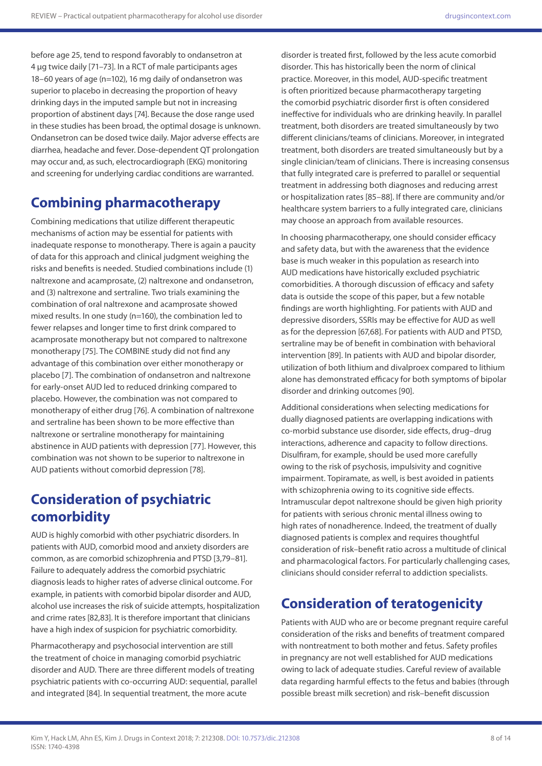before age 25, tend to respond favorably to ondansetron at 4 μg twice daily [71–73]. In a RCT of male participants ages 18–60 years of age (n=102), 16 mg daily of ondansetron was superior to placebo in decreasing the proportion of heavy drinking days in the imputed sample but not in increasing proportion of abstinent days [74]. Because the dose range used in these studies has been broad, the optimal dosage is unknown. Ondansetron can be dosed twice daily. Major adverse effects are diarrhea, headache and fever. Dose-dependent QT prolongation may occur and, as such, electrocardiograph (EKG) monitoring and screening for underlying cardiac conditions are warranted.

# **Combining pharmacotherapy**

Combining medications that utilize different therapeutic mechanisms of action may be essential for patients with inadequate response to monotherapy. There is again a paucity of data for this approach and clinical judgment weighing the risks and benefits is needed. Studied combinations include (1) naltrexone and acamprosate, (2) naltrexone and ondansetron, and (3) naltrexone and sertraline. Two trials examining the combination of oral naltrexone and acamprosate showed mixed results. In one study (n=160), the combination led to fewer relapses and longer time to first drink compared to acamprosate monotherapy but not compared to naltrexone monotherapy [75]. The COMBINE study did not find any advantage of this combination over either monotherapy or placebo [7]. The combination of ondansetron and naltrexone for early-onset AUD led to reduced drinking compared to placebo. However, the combination was not compared to monotherapy of either drug [76]. A combination of naltrexone and sertraline has been shown to be more effective than naltrexone or sertraline monotherapy for maintaining abstinence in AUD patients with depression [77]. However, this combination was not shown to be superior to naltrexone in AUD patients without comorbid depression [78].

# **Consideration of psychiatric comorbidity**

AUD is highly comorbid with other psychiatric disorders. In patients with AUD, comorbid mood and anxiety disorders are common, as are comorbid schizophrenia and PTSD [3,79–81]. Failure to adequately address the comorbid psychiatric diagnosis leads to higher rates of adverse clinical outcome. For example, in patients with comorbid bipolar disorder and AUD, alcohol use increases the risk of suicide attempts, hospitalization and crime rates [82,83]. It is therefore important that clinicians have a high index of suspicion for psychiatric comorbidity.

Pharmacotherapy and psychosocial intervention are still the treatment of choice in managing comorbid psychiatric disorder and AUD. There are three different models of treating psychiatric patients with co-occurring AUD: sequential, parallel and integrated [84]. In sequential treatment, the more acute

disorder is treated first, followed by the less acute comorbid disorder. This has historically been the norm of clinical practice. Moreover, in this model, AUD-specific treatment is often prioritized because pharmacotherapy targeting the comorbid psychiatric disorder first is often considered ineffective for individuals who are drinking heavily. In parallel treatment, both disorders are treated simultaneously by two different clinicians/teams of clinicians. Moreover, in integrated treatment, both disorders are treated simultaneously but by a single clinician/team of clinicians. There is increasing consensus that fully integrated care is preferred to parallel or sequential treatment in addressing both diagnoses and reducing arrest or hospitalization rates [85–88]. If there are community and/or healthcare system barriers to a fully integrated care, clinicians may choose an approach from available resources.

In choosing pharmacotherapy, one should consider efficacy and safety data, but with the awareness that the evidence base is much weaker in this population as research into AUD medications have historically excluded psychiatric comorbidities. A thorough discussion of efficacy and safety data is outside the scope of this paper, but a few notable findings are worth highlighting. For patients with AUD and depressive disorders, SSRIs may be effective for AUD as well as for the depression [67,68]. For patients with AUD and PTSD, sertraline may be of benefit in combination with behavioral intervention [89]. In patients with AUD and bipolar disorder, utilization of both lithium and divalproex compared to lithium alone has demonstrated efficacy for both symptoms of bipolar disorder and drinking outcomes [90].

Additional considerations when selecting medications for dually diagnosed patients are overlapping indications with co-morbid substance use disorder, side effects, drug–drug interactions, adherence and capacity to follow directions. Disulfiram, for example, should be used more carefully owing to the risk of psychosis, impulsivity and cognitive impairment. Topiramate, as well, is best avoided in patients with schizophrenia owing to its cognitive side effects. Intramuscular depot naltrexone should be given high priority for patients with serious chronic mental illness owing to high rates of nonadherence. Indeed, the treatment of dually diagnosed patients is complex and requires thoughtful consideration of risk–benefit ratio across a multitude of clinical and pharmacological factors. For particularly challenging cases, clinicians should consider referral to addiction specialists.

# **Consideration of teratogenicity**

Patients with AUD who are or become pregnant require careful consideration of the risks and benefits of treatment compared with nontreatment to both mother and fetus. Safety profiles in pregnancy are not well established for AUD medications owing to lack of adequate studies. Careful review of available data regarding harmful effects to the fetus and babies (through possible breast milk secretion) and risk–benefit discussion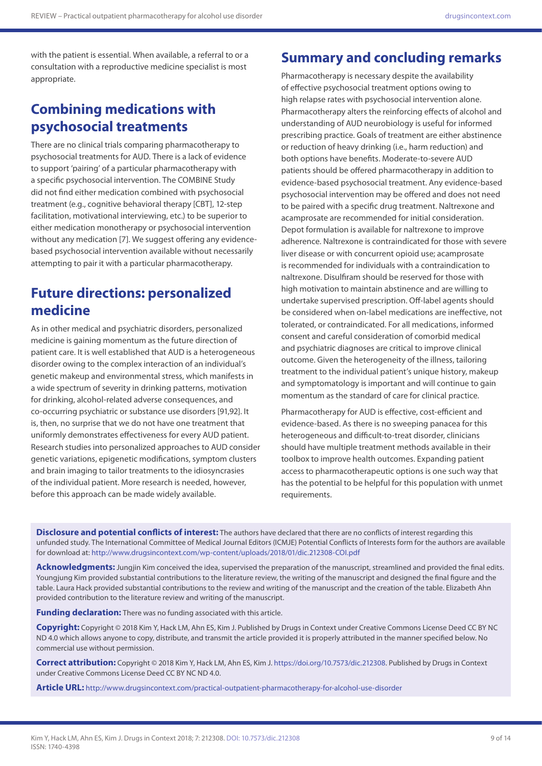with the patient is essential. When available, a referral to or a consultation with a reproductive medicine specialist is most appropriate.

## **Combining medications with psychosocial treatments**

There are no clinical trials comparing pharmacotherapy to psychosocial treatments for AUD. There is a lack of evidence to support 'pairing' of a particular pharmacotherapy with a specific psychosocial intervention. The COMBINE Study did not find either medication combined with psychosocial treatment (e.g., cognitive behavioral therapy [CBT], 12-step facilitation, motivational interviewing, etc.) to be superior to either medication monotherapy or psychosocial intervention without any medication [7]. We suggest offering any evidencebased psychosocial intervention available without necessarily attempting to pair it with a particular pharmacotherapy.

### **Future directions: personalized medicine**

As in other medical and psychiatric disorders, personalized medicine is gaining momentum as the future direction of patient care. It is well established that AUD is a heterogeneous disorder owing to the complex interaction of an individual's genetic makeup and environmental stress, which manifests in a wide spectrum of severity in drinking patterns, motivation for drinking, alcohol-related adverse consequences, and co-occurring psychiatric or substance use disorders [91,92]. It is, then, no surprise that we do not have one treatment that uniformly demonstrates effectiveness for every AUD patient. Research studies into personalized approaches to AUD consider genetic variations, epigenetic modifications, symptom clusters and brain imaging to tailor treatments to the idiosyncrasies of the individual patient. More research is needed, however, before this approach can be made widely available.

# **Summary and concluding remarks**

Pharmacotherapy is necessary despite the availability of effective psychosocial treatment options owing to high relapse rates with psychosocial intervention alone. Pharmacotherapy alters the reinforcing effects of alcohol and understanding of AUD neurobiology is useful for informed prescribing practice. Goals of treatment are either abstinence or reduction of heavy drinking (i.e., harm reduction) and both options have benefits. Moderate-to-severe AUD patients should be offered pharmacotherapy in addition to evidence-based psychosocial treatment. Any evidence-based psychosocial intervention may be offered and does not need to be paired with a specific drug treatment. Naltrexone and acamprosate are recommended for initial consideration. Depot formulation is available for naltrexone to improve adherence. Naltrexone is contraindicated for those with severe liver disease or with concurrent opioid use; acamprosate is recommended for individuals with a contraindication to naltrexone. Disulfiram should be reserved for those with high motivation to maintain abstinence and are willing to undertake supervised prescription. Off-label agents should be considered when on-label medications are ineffective, not tolerated, or contraindicated. For all medications, informed consent and careful consideration of comorbid medical and psychiatric diagnoses are critical to improve clinical outcome. Given the heterogeneity of the illness, tailoring treatment to the individual patient's unique history, makeup and symptomatology is important and will continue to gain momentum as the standard of care for clinical practice.

Pharmacotherapy for AUD is effective, cost-efficient and evidence-based. As there is no sweeping panacea for this heterogeneous and difficult-to-treat disorder, clinicians should have multiple treatment methods available in their toolbox to improve health outcomes. Expanding patient access to pharmacotherapeutic options is one such way that has the potential to be helpful for this population with unmet requirements.

**Disclosure and potential conflicts of interest:** The authors have declared that there are no conflicts of interest regarding this unfunded study. The International Committee of Medical Journal Editors (ICMJE) Potential Conflicts of Interests form for the authors are available for download at: <http://www.drugsincontext.com/wp-content/uploads/2018/01/dic.212308-COI.pdf>

Acknowledgments: Jungjin Kim conceived the idea, supervised the preparation of the manuscript, streamlined and provided the final edits. Youngjung Kim provided substantial contributions to the literature review, the writing of the manuscript and designed the final figure and the table. Laura Hack provided substantial contributions to the review and writing of the manuscript and the creation of the table. Elizabeth Ahn provided contribution to the literature review and writing of the manuscript.

**Funding declaration:** There was no funding associated with this article.

**Copyright:** Copyright © 2018 Kim Y, Hack LM, Ahn ES, Kim J. Published by Drugs in Context under Creative Commons License Deed CC BY NC ND 4.0 which allows anyone to copy, distribute, and transmit the article provided it is properly attributed in the manner specified below. No commercial use without permission.

**Correct attribution:** Copyright © 2018 Kim Y, Hack LM, Ahn ES, Kim J. [https://doi.org/10.7573/dic.212308.](https://doi.org/10.7573/dic.212308) Published by Drugs in Context under Creative Commons License Deed CC BY NC ND 4.0.

**Article URL:** <http://www.drugsincontext.com/practical-outpatient-pharmacotherapy-for-alcohol-use-disorder>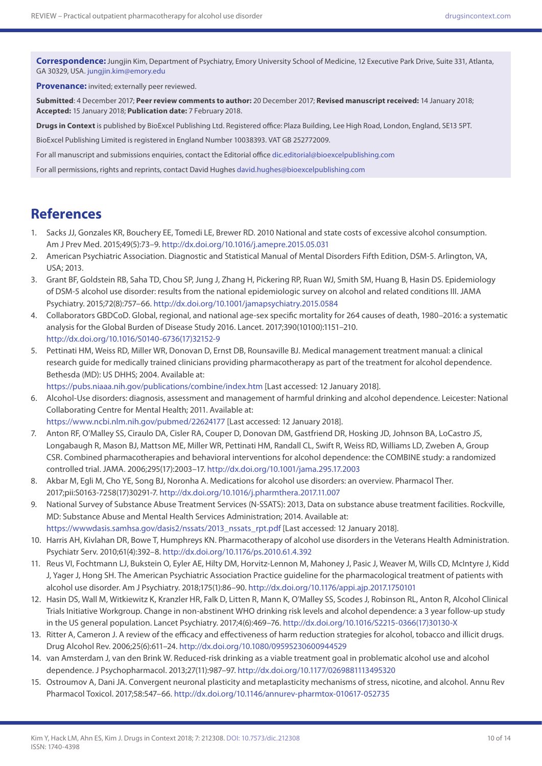**Correspondence:** Jungjin Kim, Department of Psychiatry, Emory University School of Medicine, 12 Executive Park Drive, Suite 331, Atlanta, GA 30329, USA. [jungjin.kim@emory.edu](mailto:jungjin.kim@emory.edu)

**Provenance:** invited; externally peer reviewed.

**Submitted**: 4 December 2017; **Peer review comments to author:** 20 December 2017; **Revised manuscript received:** 14 January 2018; **Accepted:** 15 January 2018; **Publication date:** 7 February 2018.

**Drugs in Context** is published by BioExcel Publishing Ltd. Registered office: Plaza Building, Lee High Road, London, England, SE13 5PT.

BioExcel Publishing Limited is registered in England Number 10038393. VAT GB 252772009.

For all manuscript and submissions enquiries, contact the Editorial office [dic.editorial@bioexcelpublishing.com](mailto:dic.editorial@bioexcelpublishing.com)

For all permissions, rights and reprints, contact David Hughes [david.hughes@bioexcelpublishing.com](mailto:david.hughes@bioexcelpublishing.com)

## **References**

- 1. Sacks JJ, Gonzales KR, Bouchery EE, Tomedi LE, Brewer RD. 2010 National and state costs of excessive alcohol consumption. Am J Prev Med. 2015;49(5):73–9.<http://dx.doi.org/10.1016/j.amepre.2015.05.031>
- 2. American Psychiatric Association. Diagnostic and Statistical Manual of Mental Disorders Fifth Edition, DSM-5. Arlington, VA, USA; 2013.
- 3. Grant BF, Goldstein RB, Saha TD, Chou SP, Jung J, Zhang H, Pickering RP, Ruan WJ, Smith SM, Huang B, Hasin DS. Epidemiology of DSM-5 alcohol use disorder: results from the national epidemiologic survey on alcohol and related conditions III. JAMA Psychiatry. 2015;72(8):757–66. <http://dx.doi.org/10.1001/jamapsychiatry.2015.0584>
- 4. Collaborators GBDCoD. Global, regional, and national age-sex specific mortality for 264 causes of death, 1980–2016: a systematic analysis for the Global Burden of Disease Study 2016. Lancet. 2017;390(10100):1151–210. [http://dx.doi.org/10.1016/S0140-6736\(17\)32152-9](http://dx.doi.org/10.1016/S0140-6736(17)32152-9)
- 5. Pettinati HM, Weiss RD, Miller WR, Donovan D, Ernst DB, Rounsaville BJ. Medical management treatment manual: a clinical research guide for medically trained clinicians providing pharmacotherapy as part of the treatment for alcohol dependence. Bethesda (MD): US DHHS; 2004. Available at:

<https://pubs.niaaa.nih.gov/publications/combine/index.htm>[Last accessed: 12 January 2018].

6. Alcohol-Use disorders: diagnosis, assessment and management of harmful drinking and alcohol dependence. Leicester: National Collaborating Centre for Mental Health; 2011. Available at:

<https://www.ncbi.nlm.nih.gov/pubmed/22624177> [Last accessed: 12 January 2018].

- 7. Anton RF, O'Malley SS, Ciraulo DA, Cisler RA, Couper D, Donovan DM, Gastfriend DR, Hosking JD, Johnson BA, LoCastro JS, Longabaugh R, Mason BJ, Mattson ME, Miller WR, Pettinati HM, Randall CL, Swift R, Weiss RD, Williams LD, Zweben A, Group CSR. Combined pharmacotherapies and behavioral interventions for alcohol dependence: the COMBINE study: a randomized controlled trial. JAMA. 2006;295(17):2003–17. <http://dx.doi.org/10.1001/jama.295.17.2003>
- 8. Akbar M, Egli M, Cho YE, Song BJ, Noronha A. Medications for alcohol use disorders: an overview. Pharmacol Ther. 2017;pii:S0163-7258(17)30291-7.<http://dx.doi.org/10.1016/j.pharmthera.2017.11.007>
- 9. National Survey of Substance Abuse Treatment Services (N-SSATS): 2013, Data on substance abuse treatment facilities. Rockville, MD: Substance Abuse and Mental Health Services Administration; 2014. Available at: [https://wwwdasis.samhsa.gov/dasis2/nssats/2013\\_nssats\\_rpt.pdf](https://wwwdasis.samhsa.gov/dasis2/nssats/2013_nssats_rpt.pdf) [Last accessed: 12 January 2018].
- 10. Harris AH, Kivlahan DR, Bowe T, Humphreys KN. Pharmacotherapy of alcohol use disorders in the Veterans Health Administration. Psychiatr Serv. 2010;61(4):392–8. <http://dx.doi.org/10.1176/ps.2010.61.4.392>
- 11. Reus VI, Fochtmann LJ, Bukstein O, Eyler AE, Hilty DM, Horvitz-Lennon M, Mahoney J, Pasic J, Weaver M, Wills CD, McIntyre J, Kidd J, Yager J, Hong SH. The American Psychiatric Association Practice guideline for the pharmacological treatment of patients with alcohol use disorder. Am J Psychiatry. 2018;175(1):86–90.<http://dx.doi.org/10.1176/appi.ajp.2017.1750101>
- 12. Hasin DS, Wall M, Witkiewitz K, Kranzler HR, Falk D, Litten R, Mann K, O'Malley SS, Scodes J, Robinson RL, Anton R, Alcohol Clinical Trials Initiative Workgroup. Change in non-abstinent WHO drinking risk levels and alcohol dependence: a 3 year follow-up study in the US general population. Lancet Psychiatry. 2017;4(6):469–76. [http://dx.doi.org/10.1016/S2215-0366\(17\)30130-X](http://dx.doi.org/10.1016/S2215-0366(17)30130-X)
- 13. Ritter A, Cameron J. A review of the efficacy and effectiveness of harm reduction strategies for alcohol, tobacco and illicit drugs. Drug Alcohol Rev. 2006;25(6):611–24.<http://dx.doi.org/10.1080/09595230600944529>
- 14. van Amsterdam J, van den Brink W. Reduced-risk drinking as a viable treatment goal in problematic alcohol use and alcohol dependence. J Psychopharmacol. 2013;27(11):987–97.<http://dx.doi.org/10.1177/0269881113495320>
- 15. Ostroumov A, Dani JA. Convergent neuronal plasticity and metaplasticity mechanisms of stress, nicotine, and alcohol. Annu Rev Pharmacol Toxicol. 2017;58:547–66.<http://dx.doi.org/10.1146/annurev-pharmtox-010617-052735>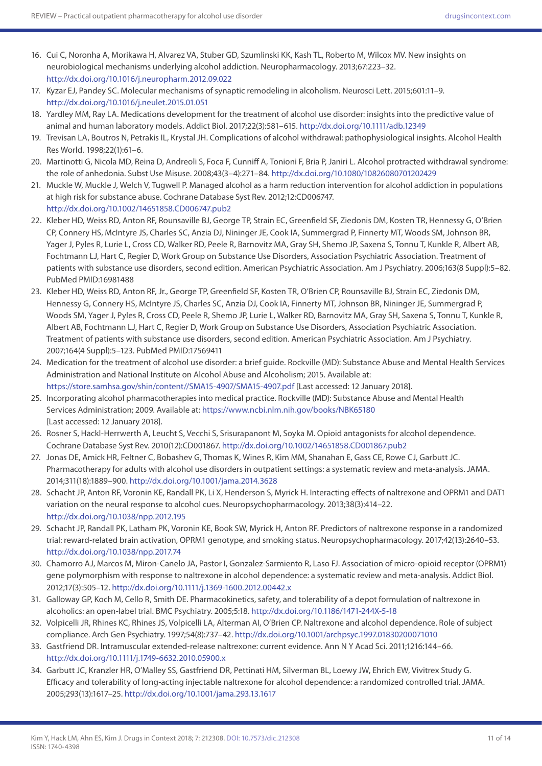- 16. Cui C, Noronha A, Morikawa H, Alvarez VA, Stuber GD, Szumlinski KK, Kash TL, Roberto M, Wilcox MV. New insights on neurobiological mechanisms underlying alcohol addiction. Neuropharmacology. 2013;67:223–32. <http://dx.doi.org/10.1016/j.neuropharm.2012.09.022>
- 17. Kyzar EJ, Pandey SC. Molecular mechanisms of synaptic remodeling in alcoholism. Neurosci Lett. 2015;601:11–9. <http://dx.doi.org/10.1016/j.neulet.2015.01.051>
- 18. Yardley MM, Ray LA. Medications development for the treatment of alcohol use disorder: insights into the predictive value of animal and human laboratory models. Addict Biol. 2017;22(3):581–615.<http://dx.doi.org/10.1111/adb.12349>
- 19. Trevisan LA, Boutros N, Petrakis IL, Krystal JH. Complications of alcohol withdrawal: pathophysiological insights. Alcohol Health Res World. 1998;22(1):61–6.
- 20. Martinotti G, Nicola MD, Reina D, Andreoli S, Foca F, Cunniff A, Tonioni F, Bria P, Janiri L. Alcohol protracted withdrawal syndrome: the role of anhedonia. Subst Use Misuse. 2008;43(3–4):271–84.<http://dx.doi.org/10.1080/10826080701202429>
- 21. Muckle W, Muckle J, Welch V, Tugwell P. Managed alcohol as a harm reduction intervention for alcohol addiction in populations at high risk for substance abuse. Cochrane Database Syst Rev. 2012;12:CD006747. <http://dx.doi.org/10.1002/14651858.CD006747.pub2>
- 22. Kleber HD, Weiss RD, Anton RF, Rounsaville BJ, George TP, Strain EC, Greenfield SF, Ziedonis DM, Kosten TR, Hennessy G, O'Brien CP, Connery HS, McIntyre JS, Charles SC, Anzia DJ, Nininger JE, Cook IA, Summergrad P, Finnerty MT, Woods SM, Johnson BR, Yager J, Pyles R, Lurie L, Cross CD, Walker RD, Peele R, Barnovitz MA, Gray SH, Shemo JP, Saxena S, Tonnu T, Kunkle R, Albert AB, Fochtmann LJ, Hart C, Regier D, Work Group on Substance Use Disorders, Association Psychiatric Association. Treatment of patients with substance use disorders, second edition. American Psychiatric Association. Am J Psychiatry. 2006;163(8 Suppl):5–82. PubMed PMID:16981488
- 23. Kleber HD, Weiss RD, Anton RF, Jr., George TP, Greenfield SF, Kosten TR, O'Brien CP, Rounsaville BJ, Strain EC, Ziedonis DM, Hennessy G, Connery HS, McIntyre JS, Charles SC, Anzia DJ, Cook IA, Finnerty MT, Johnson BR, Nininger JE, Summergrad P, Woods SM, Yager J, Pyles R, Cross CD, Peele R, Shemo JP, Lurie L, Walker RD, Barnovitz MA, Gray SH, Saxena S, Tonnu T, Kunkle R, Albert AB, Fochtmann LJ, Hart C, Regier D, Work Group on Substance Use Disorders, Association Psychiatric Association. Treatment of patients with substance use disorders, second edition. American Psychiatric Association. Am J Psychiatry. 2007;164(4 Suppl):5–123. PubMed PMID:17569411
- 24. Medication for the treatment of alcohol use disorder: a brief guide. Rockville (MD): Substance Abuse and Mental Health Services Administration and National Institute on Alcohol Abuse and Alcoholism; 2015. Available at: <https://store.samhsa.gov/shin/content//SMA15-4907/SMA15-4907.pdf>[Last accessed: 12 January 2018].
- 25. Incorporating alcohol pharmacotherapies into medical practice. Rockville (MD): Substance Abuse and Mental Health Services Administration; 2009. Available at:<https://www.ncbi.nlm.nih.gov/books/NBK65180> [Last accessed: 12 January 2018].
- 26. Rosner S, Hackl-Herrwerth A, Leucht S, Vecchi S, Srisurapanont M, Soyka M. Opioid antagonists for alcohol dependence. Cochrane Database Syst Rev. 2010(12):CD001867.<http://dx.doi.org/10.1002/14651858.CD001867.pub2>
- 27. Jonas DE, Amick HR, Feltner C, Bobashev G, Thomas K, Wines R, Kim MM, Shanahan E, Gass CE, Rowe CJ, Garbutt JC. Pharmacotherapy for adults with alcohol use disorders in outpatient settings: a systematic review and meta-analysis. JAMA. 2014;311(18):1889–900.<http://dx.doi.org/10.1001/jama.2014.3628>
- 28. Schacht JP, Anton RF, Voronin KE, Randall PK, Li X, Henderson S, Myrick H. Interacting effects of naltrexone and OPRM1 and DAT1 variation on the neural response to alcohol cues. Neuropsychopharmacology. 2013;38(3):414–22. <http://dx.doi.org/10.1038/npp.2012.195>
- 29. Schacht JP, Randall PK, Latham PK, Voronin KE, Book SW, Myrick H, Anton RF. Predictors of naltrexone response in a randomized trial: reward-related brain activation, OPRM1 genotype, and smoking status. Neuropsychopharmacology. 2017;42(13):2640–53. <http://dx.doi.org/10.1038/npp.2017.74>
- 30. Chamorro AJ, Marcos M, Miron-Canelo JA, Pastor I, Gonzalez-Sarmiento R, Laso FJ. Association of micro-opioid receptor (OPRM1) gene polymorphism with response to naltrexone in alcohol dependence: a systematic review and meta-analysis. Addict Biol. 2012;17(3):505–12.<http://dx.doi.org/10.1111/j.1369-1600.2012.00442.x>
- 31. Galloway GP, Koch M, Cello R, Smith DE. Pharmacokinetics, safety, and tolerability of a depot formulation of naltrexone in alcoholics: an open-label trial. BMC Psychiatry. 2005;5:18.<http://dx.doi.org/10.1186/1471-244X-5-18>
- 32. Volpicelli JR, Rhines KC, Rhines JS, Volpicelli LA, Alterman AI, O'Brien CP. Naltrexone and alcohol dependence. Role of subject compliance. Arch Gen Psychiatry. 1997;54(8):737–42.<http://dx.doi.org/10.1001/archpsyc.1997.01830200071010>
- 33. Gastfriend DR. Intramuscular extended-release naltrexone: current evidence. Ann N Y Acad Sci. 2011;1216:144–66. <http://dx.doi.org/10.1111/j.1749-6632.2010.05900.x>
- 34. Garbutt JC, Kranzler HR, O'Malley SS, Gastfriend DR, Pettinati HM, Silverman BL, Loewy JW, Ehrich EW, Vivitrex Study G. Efficacy and tolerability of long-acting injectable naltrexone for alcohol dependence: a randomized controlled trial. JAMA. 2005;293(13):1617–25. <http://dx.doi.org/10.1001/jama.293.13.1617>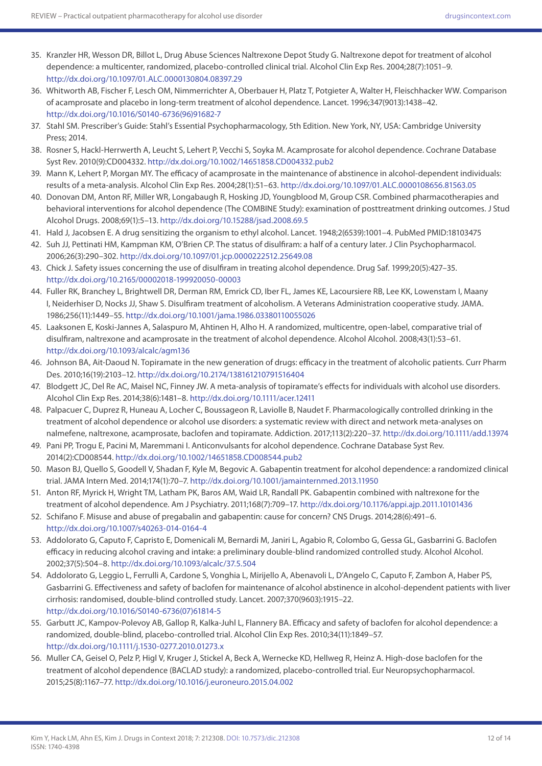- 35. Kranzler HR, Wesson DR, Billot L, Drug Abuse Sciences Naltrexone Depot Study G. Naltrexone depot for treatment of alcohol dependence: a multicenter, randomized, placebo-controlled clinical trial. Alcohol Clin Exp Res. 2004;28(7):1051–9. <http://dx.doi.org/10.1097/01.ALC.0000130804.08397.29>
- 36. Whitworth AB, Fischer F, Lesch OM, Nimmerrichter A, Oberbauer H, Platz T, Potgieter A, Walter H, Fleischhacker WW. Comparison of acamprosate and placebo in long-term treatment of alcohol dependence. Lancet. 1996;347(9013):1438–42. [http://dx.doi.org/10.1016/S0140-6736\(96\)91682-7](http://dx.doi.org/10.1016/S0140-6736(96)91682-7)
- 37. Stahl SM. Prescriber's Guide: Stahl's Essential Psychopharmacology, 5th Edition. New York, NY, USA: Cambridge University Press; 2014.
- 38. Rosner S, Hackl-Herrwerth A, Leucht S, Lehert P, Vecchi S, Soyka M. Acamprosate for alcohol dependence. Cochrane Database Syst Rev. 2010(9):CD004332.<http://dx.doi.org/10.1002/14651858.CD004332.pub2>
- 39. Mann K, Lehert P, Morgan MY. The efficacy of acamprosate in the maintenance of abstinence in alcohol-dependent individuals: results of a meta-analysis. Alcohol Clin Exp Res. 2004;28(1):51–63.<http://dx.doi.org/10.1097/01.ALC.0000108656.81563.05>
- 40. Donovan DM, Anton RF, Miller WR, Longabaugh R, Hosking JD, Youngblood M, Group CSR. Combined pharmacotherapies and behavioral interventions for alcohol dependence (The COMBINE Study): examination of posttreatment drinking outcomes. J Stud Alcohol Drugs. 2008;69(1):5–13.<http://dx.doi.org/10.15288/jsad.2008.69.5>
- 41. Hald J, Jacobsen E. A drug sensitizing the organism to ethyl alcohol. Lancet. 1948;2(6539):1001–4. PubMed PMID:18103475
- 42. Suh JJ, Pettinati HM, Kampman KM, O'Brien CP. The status of disulfiram: a half of a century later. J Clin Psychopharmacol. 2006;26(3):290–302. <http://dx.doi.org/10.1097/01.jcp.0000222512.25649.08>
- 43. Chick J. Safety issues concerning the use of disulfiram in treating alcohol dependence. Drug Saf. 1999;20(5):427–35. <http://dx.doi.org/10.2165/00002018-199920050-00003>
- 44. Fuller RK, Branchey L, Brightwell DR, Derman RM, Emrick CD, Iber FL, James KE, Lacoursiere RB, Lee KK, Lowenstam I, Maany I, Neiderhiser D, Nocks JJ, Shaw S. Disulfiram treatment of alcoholism. A Veterans Administration cooperative study. JAMA. 1986;256(11):1449–55.<http://dx.doi.org/10.1001/jama.1986.03380110055026>
- 45. Laaksonen E, Koski-Jannes A, Salaspuro M, Ahtinen H, Alho H. A randomized, multicentre, open-label, comparative trial of disulfiram, naltrexone and acamprosate in the treatment of alcohol dependence. Alcohol Alcohol. 2008;43(1):53–61. <http://dx.doi.org/10.1093/alcalc/agm136>
- 46. Johnson BA, Ait-Daoud N. Topiramate in the new generation of drugs: efficacy in the treatment of alcoholic patients. Curr Pharm Des. 2010;16(19):2103–12.<http://dx.doi.org/10.2174/138161210791516404>
- 47. Blodgett JC, Del Re AC, Maisel NC, Finney JW. A meta-analysis of topiramate's effects for individuals with alcohol use disorders. Alcohol Clin Exp Res. 2014;38(6):1481–8. <http://dx.doi.org/10.1111/acer.12411>
- 48. Palpacuer C, Duprez R, Huneau A, Locher C, Boussageon R, Laviolle B, Naudet F. Pharmacologically controlled drinking in the treatment of alcohol dependence or alcohol use disorders: a systematic review with direct and network meta-analyses on nalmefene, naltrexone, acamprosate, baclofen and topiramate. Addiction. 2017;113(2):220–37. <http://dx.doi.org/10.1111/add.13974>
- 49. Pani PP, Trogu E, Pacini M, Maremmani I. Anticonvulsants for alcohol dependence. Cochrane Database Syst Rev. 2014(2):CD008544. <http://dx.doi.org/10.1002/14651858.CD008544.pub2>
- 50. Mason BJ, Quello S, Goodell V, Shadan F, Kyle M, Begovic A. Gabapentin treatment for alcohol dependence: a randomized clinical trial. JAMA Intern Med. 2014;174(1):70–7. <http://dx.doi.org/10.1001/jamainternmed.2013.11950>
- 51. Anton RF, Myrick H, Wright TM, Latham PK, Baros AM, Waid LR, Randall PK. Gabapentin combined with naltrexone for the treatment of alcohol dependence. Am J Psychiatry. 2011;168(7):709–17. <http://dx.doi.org/10.1176/appi.ajp.2011.10101436>
- 52. Schifano F. Misuse and abuse of pregabalin and gabapentin: cause for concern? CNS Drugs. 2014;28(6):491–6. <http://dx.doi.org/10.1007/s40263-014-0164-4>
- 53. Addolorato G, Caputo F, Capristo E, Domenicali M, Bernardi M, Janiri L, Agabio R, Colombo G, Gessa GL, Gasbarrini G. Baclofen efficacy in reducing alcohol craving and intake: a preliminary double-blind randomized controlled study. Alcohol Alcohol. 2002;37(5):504–8.<http://dx.doi.org/10.1093/alcalc/37.5.504>
- 54. Addolorato G, Leggio L, Ferrulli A, Cardone S, Vonghia L, Mirijello A, Abenavoli L, D'Angelo C, Caputo F, Zambon A, Haber PS, Gasbarrini G. Effectiveness and safety of baclofen for maintenance of alcohol abstinence in alcohol-dependent patients with liver cirrhosis: randomised, double-blind controlled study. Lancet. 2007;370(9603):1915–22. [http://dx.doi.org/10.1016/S0140-6736\(07\)61814-5](http://dx.doi.org/10.1016/S0140-6736(07)61814-5)
- 55. Garbutt JC, Kampov-Polevoy AB, Gallop R, Kalka-Juhl L, Flannery BA. Efficacy and safety of baclofen for alcohol dependence: a randomized, double-blind, placebo-controlled trial. Alcohol Clin Exp Res. 2010;34(11):1849–57. <http://dx.doi.org/10.1111/j.1530-0277.2010.01273.x>
- 56. Muller CA, Geisel O, Pelz P, Higl V, Kruger J, Stickel A, Beck A, Wernecke KD, Hellweg R, Heinz A. High-dose baclofen for the treatment of alcohol dependence (BACLAD study): a randomized, placebo-controlled trial. Eur Neuropsychopharmacol. 2015;25(8):1167–77.<http://dx.doi.org/10.1016/j.euroneuro.2015.04.002>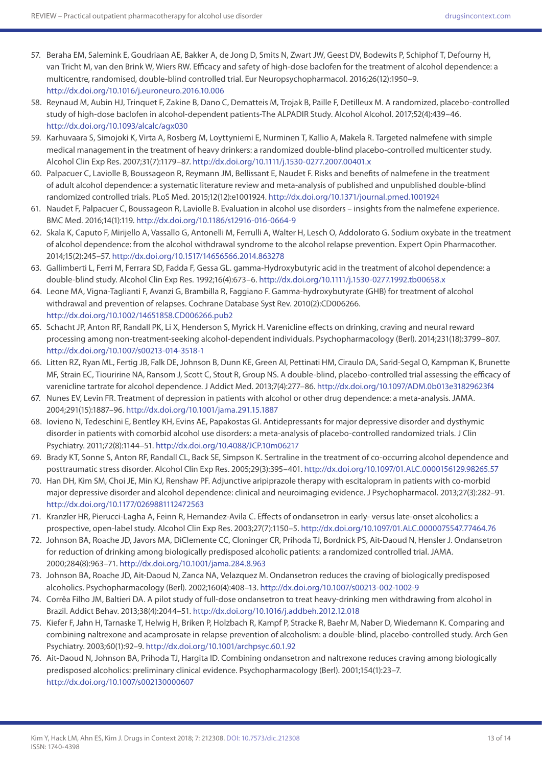- 57. Beraha EM, Salemink E, Goudriaan AE, Bakker A, de Jong D, Smits N, Zwart JW, Geest DV, Bodewits P, Schiphof T, Defourny H, van Tricht M, van den Brink W, Wiers RW. Efficacy and safety of high-dose baclofen for the treatment of alcohol dependence: a multicentre, randomised, double-blind controlled trial. Eur Neuropsychopharmacol. 2016;26(12):1950–9. <http://dx.doi.org/10.1016/j.euroneuro.2016.10.006>
- 58. Reynaud M, Aubin HJ, Trinquet F, Zakine B, Dano C, Dematteis M, Trojak B, Paille F, Detilleux M. A randomized, placebo-controlled study of high-dose baclofen in alcohol-dependent patients-The ALPADIR Study. Alcohol Alcohol. 2017;52(4):439–46. <http://dx.doi.org/10.1093/alcalc/agx030>
- 59. Karhuvaara S, Simojoki K, Virta A, Rosberg M, Loyttyniemi E, Nurminen T, Kallio A, Makela R. Targeted nalmefene with simple medical management in the treatment of heavy drinkers: a randomized double-blind placebo-controlled multicenter study. Alcohol Clin Exp Res. 2007;31(7):1179–87. <http://dx.doi.org/10.1111/j.1530-0277.2007.00401.x>
- 60. Palpacuer C, Laviolle B, Boussageon R, Reymann JM, Bellissant E, Naudet F. Risks and benefits of nalmefene in the treatment of adult alcohol dependence: a systematic literature review and meta-analysis of published and unpublished double-blind randomized controlled trials. PLoS Med. 2015;12(12):e1001924.<http://dx.doi.org/10.1371/journal.pmed.1001924>
- 61. Naudet F, Palpacuer C, Boussageon R, Laviolle B. Evaluation in alcohol use disorders insights from the nalmefene experience. BMC Med. 2016;14(1):119. <http://dx.doi.org/10.1186/s12916-016-0664-9>
- 62. Skala K, Caputo F, Mirijello A, Vassallo G, Antonelli M, Ferrulli A, Walter H, Lesch O, Addolorato G. Sodium oxybate in the treatment of alcohol dependence: from the alcohol withdrawal syndrome to the alcohol relapse prevention. Expert Opin Pharmacother. 2014;15(2):245–57.<http://dx.doi.org/10.1517/14656566.2014.863278>
- 63. Gallimberti L, Ferri M, Ferrara SD, Fadda F, Gessa GL. gamma-Hydroxybutyric acid in the treatment of alcohol dependence: a double-blind study. Alcohol Clin Exp Res. 1992;16(4):673–6. <http://dx.doi.org/10.1111/j.1530-0277.1992.tb00658.x>
- 64. Leone MA, Vigna-Taglianti F, Avanzi G, Brambilla R, Faggiano F. Gamma-hydroxybutyrate (GHB) for treatment of alcohol withdrawal and prevention of relapses. Cochrane Database Syst Rev. 2010(2):CD006266. <http://dx.doi.org/10.1002/14651858.CD006266.pub2>
- 65. Schacht JP, Anton RF, Randall PK, Li X, Henderson S, Myrick H. Varenicline effects on drinking, craving and neural reward processing among non-treatment-seeking alcohol-dependent individuals. Psychopharmacology (Berl). 2014;231(18):3799–807. <http://dx.doi.org/10.1007/s00213-014-3518-1>
- 66. Litten RZ, Ryan ML, Fertig JB, Falk DE, Johnson B, Dunn KE, Green AI, Pettinati HM, Ciraulo DA, Sarid-Segal O, Kampman K, Brunette MF, Strain EC, Tiouririne NA, Ransom J, Scott C, Stout R, Group NS. A double-blind, placebo-controlled trial assessing the efficacy of varenicline tartrate for alcohol dependence. J Addict Med. 2013;7(4):277–86. <http://dx.doi.org/10.1097/ADM.0b013e31829623f4>
- 67. Nunes EV, Levin FR. Treatment of depression in patients with alcohol or other drug dependence: a meta-analysis. JAMA. 2004;291(15):1887–96. <http://dx.doi.org/10.1001/jama.291.15.1887>
- 68. Iovieno N, Tedeschini E, Bentley KH, Evins AE, Papakostas GI. Antidepressants for major depressive disorder and dysthymic disorder in patients with comorbid alcohol use disorders: a meta-analysis of placebo-controlled randomized trials. J Clin Psychiatry. 2011;72(8):1144–51.<http://dx.doi.org/10.4088/JCP.10m06217>
- 69. Brady KT, Sonne S, Anton RF, Randall CL, Back SE, Simpson K. Sertraline in the treatment of co-occurring alcohol dependence and posttraumatic stress disorder. Alcohol Clin Exp Res. 2005;29(3):395–401.<http://dx.doi.org/10.1097/01.ALC.0000156129.98265.57>
- 70. Han DH, Kim SM, Choi JE, Min KJ, Renshaw PF. Adjunctive aripiprazole therapy with escitalopram in patients with co-morbid major depressive disorder and alcohol dependence: clinical and neuroimaging evidence. J Psychopharmacol. 2013;27(3):282–91. <http://dx.doi.org/10.1177/0269881112472563>
- 71. Kranzler HR, Pierucci-Lagha A, Feinn R, Hernandez-Avila C. Effects of ondansetron in early- versus late-onset alcoholics: a prospective, open-label study. Alcohol Clin Exp Res. 2003;27(7):1150–5. <http://dx.doi.org/10.1097/01.ALC.0000075547.77464.76>
- 72. Johnson BA, Roache JD, Javors MA, DiClemente CC, Cloninger CR, Prihoda TJ, Bordnick PS, Ait-Daoud N, Hensler J. Ondansetron for reduction of drinking among biologically predisposed alcoholic patients: a randomized controlled trial. JAMA. 2000;284(8):963–71.<http://dx.doi.org/10.1001/jama.284.8.963>
- 73. Johnson BA, Roache JD, Ait-Daoud N, Zanca NA, Velazquez M. Ondansetron reduces the craving of biologically predisposed alcoholics. Psychopharmacology (Berl). 2002;160(4):408–13.<http://dx.doi.org/10.1007/s00213-002-1002-9>
- 74. Corrêa Filho JM, Baltieri DA. A pilot study of full-dose ondansetron to treat heavy-drinking men withdrawing from alcohol in Brazil. Addict Behav. 2013;38(4):2044–51.<http://dx.doi.org/10.1016/j.addbeh.2012.12.018>
- 75. Kiefer F, Jahn H, Tarnaske T, Helwig H, Briken P, Holzbach R, Kampf P, Stracke R, Baehr M, Naber D, Wiedemann K. Comparing and combining naltrexone and acamprosate in relapse prevention of alcoholism: a double-blind, placebo-controlled study. Arch Gen Psychiatry. 2003;60(1):92–9.<http://dx.doi.org/10.1001/archpsyc.60.1.92>
- 76. Ait-Daoud N, Johnson BA, Prihoda TJ, Hargita ID. Combining ondansetron and naltrexone reduces craving among biologically predisposed alcoholics: preliminary clinical evidence. Psychopharmacology (Berl). 2001;154(1):23–7. <http://dx.doi.org/10.1007/s002130000607>